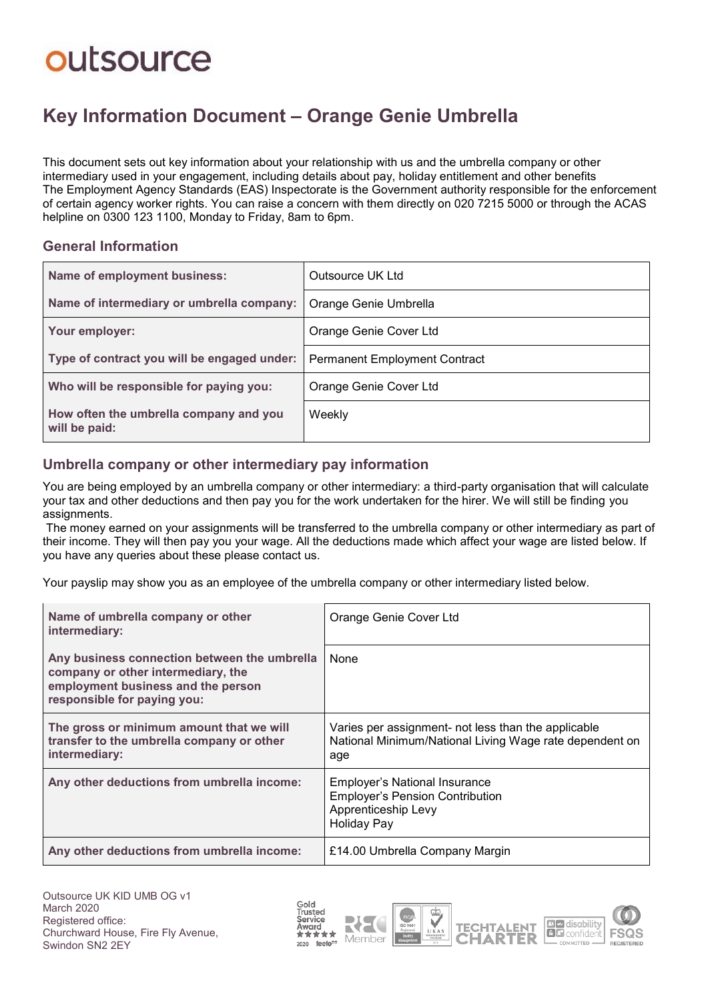## outsource

### **Key Information Document ‒ Orange Genie Umbrella**

This document sets out key information about your relationship with us and the umbrella company or other intermediary used in your engagement, including details about pay, holiday entitlement and other benefits The Employment Agency Standards (EAS) Inspectorate is the Government authority responsible for the enforcement of certain agency worker rights. You can raise a concern with them directly on 020 7215 5000 or through the ACAS helpline on 0300 123 1100. Monday to Friday, 8am to 6pm.

#### **General Information**

| Name of employment business:                            | Outsource UK Ltd                     |
|---------------------------------------------------------|--------------------------------------|
| Name of intermediary or umbrella company:               | Orange Genie Umbrella                |
| Your employer:                                          | Orange Genie Cover Ltd               |
| Type of contract you will be engaged under:             | <b>Permanent Employment Contract</b> |
| Who will be responsible for paying you:                 | Orange Genie Cover Ltd               |
| How often the umbrella company and you<br>will be paid: | Weekly                               |

### **Umbrella company or other intermediary pay information**

You are being employed by an umbrella company or other intermediary: a third-party organisation that will calculate your tax and other deductions and then pay you for the work undertaken for the hirer. We will still be finding you assignments.

The money earned on your assignments will be transferred to the umbrella company or other intermediary as part of their income. They will then pay you your wage. All the deductions made which affect your wage are listed below. If you have any queries about these please contact us.

Your payslip may show you as an employee of the umbrella company or other intermediary listed below.

| Name of umbrella company or other<br>intermediary:                                                                                                      | Orange Genie Cover Ltd                                                                                                      |  |
|---------------------------------------------------------------------------------------------------------------------------------------------------------|-----------------------------------------------------------------------------------------------------------------------------|--|
| Any business connection between the umbrella<br>company or other intermediary, the<br>employment business and the person<br>responsible for paying you: | None                                                                                                                        |  |
| The gross or minimum amount that we will<br>transfer to the umbrella company or other<br>intermediary:                                                  | Varies per assignment- not less than the applicable<br>National Minimum/National Living Wage rate dependent on<br>age       |  |
| Any other deductions from umbrella income:                                                                                                              | <b>Employer's National Insurance</b><br><b>Employer's Pension Contribution</b><br>Apprenticeship Levy<br><b>Holiday Pay</b> |  |
| Any other deductions from umbrella income:                                                                                                              | £14.00 Umbrella Company Margin                                                                                              |  |









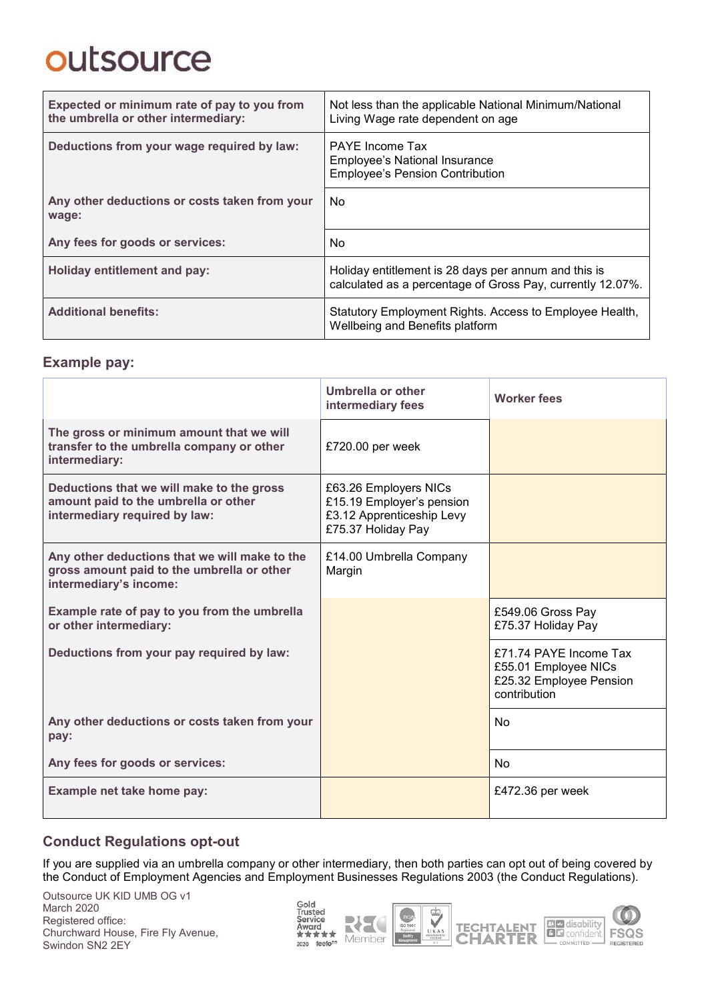# outsource

| Expected or minimum rate of pay to you from<br>the umbrella or other intermediary: | Not less than the applicable National Minimum/National<br>Living Wage rate dependent on age                        |  |
|------------------------------------------------------------------------------------|--------------------------------------------------------------------------------------------------------------------|--|
| Deductions from your wage required by law:                                         | <b>PAYE</b> Income Tax<br>Employee's National Insurance<br><b>Employee's Pension Contribution</b>                  |  |
| Any other deductions or costs taken from your<br>wage:                             | No.                                                                                                                |  |
| Any fees for goods or services:                                                    | No.                                                                                                                |  |
| <b>Holiday entitlement and pay:</b>                                                | Holiday entitlement is 28 days per annum and this is<br>calculated as a percentage of Gross Pay, currently 12.07%. |  |
| <b>Additional benefits:</b>                                                        | Statutory Employment Rights. Access to Employee Health,<br>Wellbeing and Benefits platform                         |  |

### **Example pay:**

|                                                                                                                       | Umbrella or other<br>intermediary fees                                                                | <b>Worker fees</b>                                                                        |
|-----------------------------------------------------------------------------------------------------------------------|-------------------------------------------------------------------------------------------------------|-------------------------------------------------------------------------------------------|
| The gross or minimum amount that we will<br>transfer to the umbrella company or other<br>intermediary:                | £720.00 per week                                                                                      |                                                                                           |
| Deductions that we will make to the gross<br>amount paid to the umbrella or other<br>intermediary required by law:    | £63.26 Employers NICs<br>£15.19 Employer's pension<br>£3.12 Apprenticeship Levy<br>£75.37 Holiday Pay |                                                                                           |
| Any other deductions that we will make to the<br>gross amount paid to the umbrella or other<br>intermediary's income: | £14.00 Umbrella Company<br>Margin                                                                     |                                                                                           |
| Example rate of pay to you from the umbrella<br>or other intermediary:                                                |                                                                                                       | £549.06 Gross Pay<br>£75.37 Holiday Pay                                                   |
| Deductions from your pay required by law:                                                                             |                                                                                                       | £71.74 PAYE Income Tax<br>£55.01 Employee NICs<br>£25.32 Employee Pension<br>contribution |
| Any other deductions or costs taken from your<br>pay:                                                                 |                                                                                                       | <b>No</b>                                                                                 |
| Any fees for goods or services:                                                                                       |                                                                                                       | N <sub>o</sub>                                                                            |
| Example net take home pay:                                                                                            |                                                                                                       | £472.36 per week                                                                          |

### **Conduct Regulations opt-out**

If you are supplied via an umbrella company or other intermediary, then both parties can opt out of being covered by the Conduct of Employment Agencies and Employment Businesses Regulations 2003 (the Conduct Regulations).

Outsource UK KID UMB OG v1 March 2020 Registered office: Churchward House, Fire Fly Avenue, Swindon SN2 2EY

Gold<br>Trusted<br>Service<br>Award<br>★★★★★  $2020$  feefo<sup>es</sup>